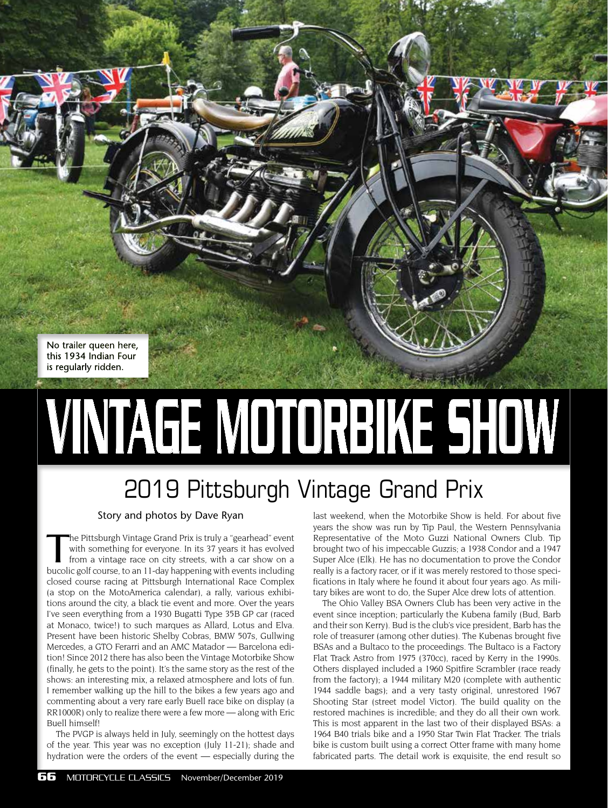No trailer queen here, this 1934 Indian Four is regularly ridden.

## VINTAGE MOTORBIKE SHOW

## 2019 Pittsburgh Vintage Grand Prix

## Story and photos by Dave Ryan

he Pittsburgh Vintage Grand Prix is truly a "gearhead" event with something for everyone. In its 37 years it has evolved from a vintage race on city streets, with a car show on a bucolic golf course, to an 11-day happening with events including closed course racing at Pittsburgh International Race Complex (a stop on the MotoAmerica calendar), a rally, various exhibitions around the city, a black tie event and more. Over the years I've seen everything from a 1930 Bugatti Type 35B GP car (raced at Monaco, twice!) to such marques as Allard, Lotus and Elva. Present have been historic Shelby Cobras, BMW 507s, Gullwing Mercedes, a GTO Ferarri and an AMC Matador — Barcelona edition! Since 2012 there has also been the Vintage Motorbike Show (finally, he gets to the point). It's the same story as the rest of the shows: an interesting mix, a relaxed atmosphere and lots of fun. I remember walking up the hill to the bikes a few years ago and commenting about a very rare early Buell race bike on display (a RR1000R) only to realize there were a few more — along with Eric Buell himself!

The PVGP is always held in July, seemingly on the hottest days of the year. This year was no exception (July 11-21); shade and hydration were the orders of the event — especially during the

last weekend, when the Motorbike Show is held. For about five years the show was run by Tip Paul, the Western Pennsylvania Representative of the Moto Guzzi National Owners Club. Tip brought two of his impeccable Guzzis; a 1938 Condor and a 1947 Super Alce (Elk). He has no documentation to prove the Condor really is a factory racer, or if it was merely restored to those specifications in Italy where he found it about four years ago. As military bikes are wont to do, the Super Alce drew lots of attention.

The Ohio Valley BSA Owners Club has been very active in the event since inception; particularly the Kubena family (Bud, Barb and their son Kerry). Bud is the club's vice president, Barb has the role of treasurer (among other duties). The Kubenas brought five BSAs and a Bultaco to the proceedings. The Bultaco is a Factory Flat Track Astro from 1975 (370cc), raced by Kerry in the 1990s. Others displayed included a 1960 Spitfire Scrambler (race ready from the factory); a 1944 military M20 (complete with authentic 1944 saddle bags); and a very tasty original, unrestored 1967 Shooting Star (street model Victor). The build quality on the restored machines is incredible; and they do all their own work. This is most apparent in the last two of their displayed BSAs: a 1964 B40 trials bike and a 1950 Star Twin Flat Tracker. The trials bike is custom built using a correct Otter frame with many home fabricated parts. The detail work is exquisite, the end result so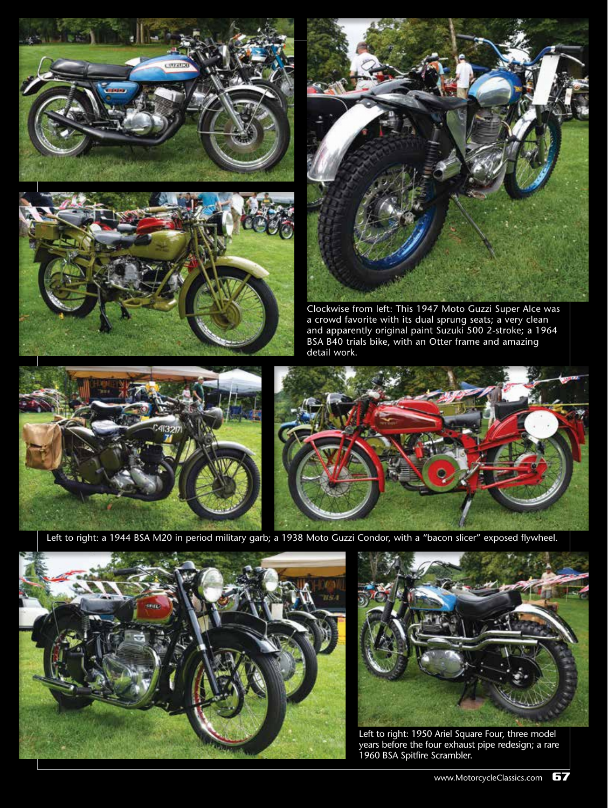





Clockwise from left: This 1947 Moto Guzzi Super Alce was a crowd favorite with its dual sprung seats; a very clean and apparently original paint Suzuki 500 2-stroke; a 1964 BSA B40 trials bike, with an Otter frame and amazing detail work.





Left to right: a 1944 BSA M20 in period military garb; a 1938 Moto Guzzi Condor, with a "bacon slicer" exposed flywheel.





Left to right: 1950 Ariel Square Four, three model years before the four exhaust pipe redesign; a rare 1960 BSA Spitfire Scrambler.